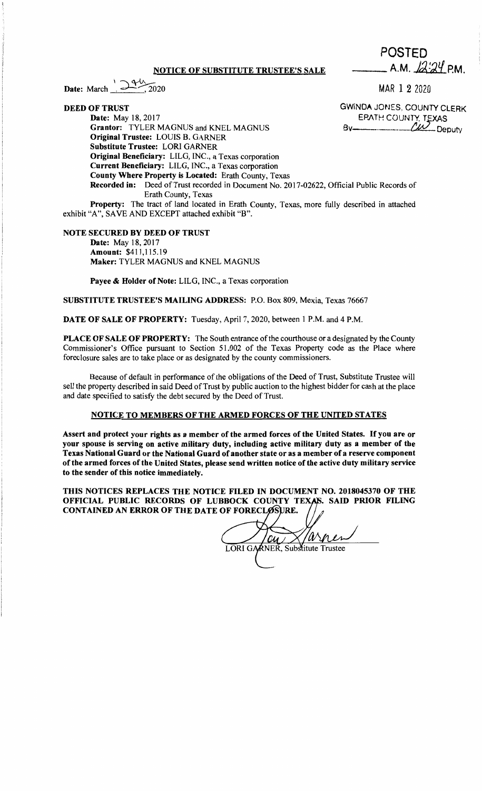## **NOTICE OF SUBSTITUTE TRUSTEE'S SALE**

 $1744 -$ Date: March  $\frac{1}{2020}$ .

**DEED OF TRUST** 

MAR 1 2 2020

**\_\_ A.M.** /J.i~J.if P.M.

POSTED

**GWINDA** JONES, COUNTY CLERK EPATH COUNTY, TEXAS By Deputy

**Date:** May 18, 2017 **Grantor:** TYLER MAGNUS and KNEL MAGNUS **Original Trustee:** LOUIS B. GARNER **Substitute Trustee:** LORI GARNER **Original Beneficiary:** LILG, INC., a Texas corporation **Current Beneficiary:** LILG, INC., a Texas corporation **County Where Property is Located:** Erath County, Texas **Recorded in:** Deed of Trust recorded in Document No. 2017-02622, Official Public Records of Erath County, Texas

**Property:** The tract of land located in Erath County, Texas, more fully described in attached exhibit "A", SA VE AND EXCEPT attached exhibit "B".

## **NOTE SECURED BY DEED OF TRUST**

**Date:** May 18, 2017 **Amount:** \$411,115.19 **Maker:** TYLER MAGNUS and KNEL MAGNUS

**Payee** & **Holder of Note:** LILG, INC., a Texas corporation

**SUBSTITUTE TRUSTEE'S MAILING ADDRESS:** P.O. Box 809, Mexia, Texas 76667

**DATE OF SALE OF PROPERTY:** Tuesday, April 7, 2020, between I P.M. and 4 P.M.

**PLACE OF SALE OF PROPERTY:** The South entrance of the courthouse or a designated by the County Commissioner's Office pursuant to Section 51.002 of the Texas Property code as the Place where foreclosure sales are to take place or as designated by the county commissioners.

Because of default in performance of the obligations of the Deed of Trust, Substitute Trustee will sell the property described in said Deed of Trust by public auction to the highest bidder for cash at the place and date specified to satisfy the debt secured by the Deed of Trust.

## **NOTICE TO MEMBERS OF THE ARMED FORCES OF THE UNITED STATES**

**Assert and protect your rights as a member of the armed forces of the United States.** If **you are or your spouse is serving on active military duty, including active military duty as a member of the Texas National Guard or the National Guard of another state or as a member of a reserve component of the armed forces of the United States, please send written notice of the active duty military service to the sender of this notice immediately.** 

THIS NOTICES REPLACES THE NOTICE FILED IN DOCUMENT NO. 2018045370 OF THE OFFICIAL PUBLIC RECORDS OF LUBBOCK COUNTY TEXAS. SAID PRIOR FILING CONTAINED AN ERROR OF THE DATE OF FORECLOSURE.

 $/AN$  $\omega$ LORI GARNER, Substitute Trustee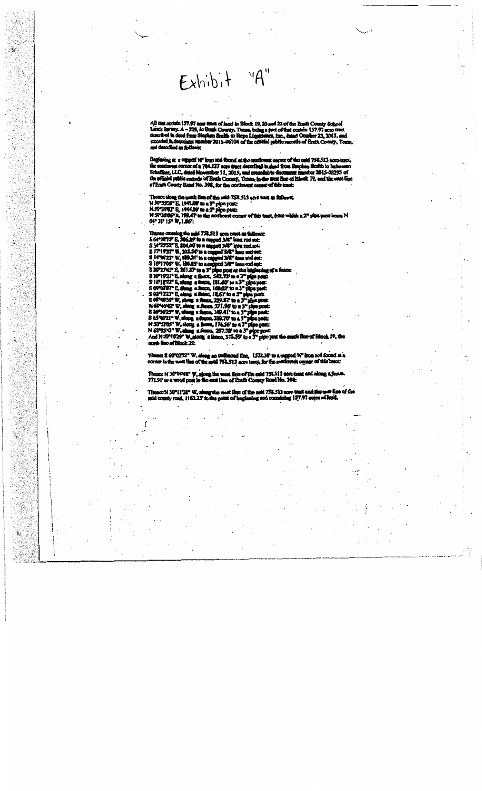Exhibit "A"

AB d 157.97  $9, 10.8$ uti O ng a part o unty, T

 $\mathbf{r}$  and a yr 1 d 758.513 aon n me f d at west corner of a 784.137 nore track an universe<br>west corner of a 784.137 nore track deport ibat in d  $-06293$  of ttn d ti d'R áΩ 71 'n. ا کہ ہ xy R d No. 398, for the n

of the said-758.513 acre N 59°35'29" E, 1941.00 to a 3" pipe post:<br>N 59°39'03" E, 1941.00 to a 3" pipe post:<br>N 59°39'03" E, 199.47 to the northeast com נו ץ<br>15

There crossing the said<br>S 64°34°15° E, 206.65° i<br>S 34°25°32° E, 206.00° i<br>S 17°19'37° W, 305.54° us and suit<br>me rod suit i M 1623° W 16°1706" W. 196.29<br>30°2745" E. 261.67 30"19'21" B.al  $50.71$ 16%822\* **'02'07" E. dio**<br>'12'23" E. olo **IL6Y** to  $\frac{239}{271}$ 62 41 521" 865 5543 **0°10'X** ck 22:

R 60402224 W e, 1*57*2.38 to 758.513

These<br>771.91 **N 30°NWE" W** M 758 513 a eE ďр hС

**N 10-1132** id 751.513 a 'n ۵Ć 157.97 zi